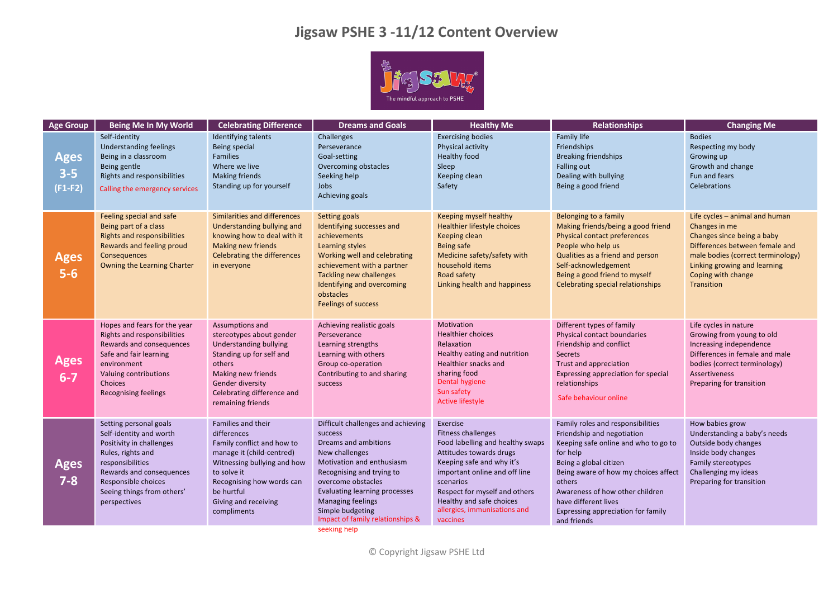## **Jigsaw PSHE 3 -11/12 Content Overview**



| <b>Age Group</b>                    | Being Me In My World                                                                                                                                                                                                    | <b>Celebrating Difference</b>                                                                                                                                                                                                | <b>Dreams and Goals</b>                                                                                                                                                                                                                                                               | <b>Healthy Me</b>                                                                                                                                                                                                                                                                 | <b>Relationships</b>                                                                                                                                                                                                                                                                                            | <b>Changing Me</b>                                                                                                                                                                                                              |
|-------------------------------------|-------------------------------------------------------------------------------------------------------------------------------------------------------------------------------------------------------------------------|------------------------------------------------------------------------------------------------------------------------------------------------------------------------------------------------------------------------------|---------------------------------------------------------------------------------------------------------------------------------------------------------------------------------------------------------------------------------------------------------------------------------------|-----------------------------------------------------------------------------------------------------------------------------------------------------------------------------------------------------------------------------------------------------------------------------------|-----------------------------------------------------------------------------------------------------------------------------------------------------------------------------------------------------------------------------------------------------------------------------------------------------------------|---------------------------------------------------------------------------------------------------------------------------------------------------------------------------------------------------------------------------------|
| <b>Ages</b><br>$3 - 5$<br>$(F1-F2)$ | Self-identity<br>Understanding feelings<br>Being in a classroom<br>Being gentle<br>Rights and responsibilities<br>Calling the emergency services                                                                        | Identifying talents<br>Being special<br><b>Families</b><br>Where we live<br><b>Making friends</b><br>Standing up for yourself                                                                                                | Challenges<br>Perseverance<br>Goal-setting<br>Overcoming obstacles<br>Seeking help<br>Jobs<br>Achieving goals                                                                                                                                                                         | <b>Exercising bodies</b><br>Physical activity<br><b>Healthy food</b><br>Sleep<br>Keeping clean<br>Safety                                                                                                                                                                          | Family life<br><b>Friendships</b><br><b>Breaking friendships</b><br><b>Falling out</b><br>Dealing with bullying<br>Being a good friend                                                                                                                                                                          | <b>Bodies</b><br>Respecting my body<br>Growing up<br>Growth and change<br>Fun and fears<br>Celebrations                                                                                                                         |
| <b>Ages</b><br>$5-6$                | Feeling special and safe<br>Being part of a class<br><b>Rights and responsibilities</b><br>Rewards and feeling proud<br>Consequences<br>Owning the Learning Charter                                                     | Similarities and differences<br>Understanding bullying and<br>knowing how to deal with it<br>Making new friends<br><b>Celebrating the differences</b><br>in everyone                                                         | Setting goals<br>Identifying successes and<br>achievements<br>Learning styles<br>Working well and celebrating<br>achievement with a partner<br><b>Tackling new challenges</b><br><b>Identifying and overcoming</b><br>obstacles<br><b>Feelings of success</b>                         | Keeping myself healthy<br>Healthier lifestyle choices<br>Keeping clean<br>Being safe<br>Medicine safety/safety with<br>household items<br>Road safety<br>Linking health and happiness                                                                                             | Belonging to a family<br>Making friends/being a good friend<br><b>Physical contact preferences</b><br>People who help us<br>Qualities as a friend and person<br>Self-acknowledgement<br>Being a good friend to myself<br>Celebrating special relationships                                                      | Life cycles - animal and human<br>Changes in me<br>Changes since being a baby<br>Differences between female and<br>male bodies (correct terminology)<br>Linking growing and learning<br>Coping with change<br><b>Transition</b> |
| <b>Ages</b><br>$6 - 7$              | Hopes and fears for the year<br>Rights and responsibilities<br>Rewards and consequences<br>Safe and fair learning<br>environment<br>Valuing contributions<br>Choices<br><b>Recognising feelings</b>                     | Assumptions and<br>stereotypes about gender<br><b>Understanding bullying</b><br>Standing up for self and<br>others<br>Making new friends<br>Gender diversity<br>Celebrating difference and<br>remaining friends              | Achieving realistic goals<br>Perseverance<br>Learning strengths<br>Learning with others<br>Group co-operation<br>Contributing to and sharing<br>success                                                                                                                               | Motivation<br><b>Healthier choices</b><br>Relaxation<br>Healthy eating and nutrition<br>Healthier snacks and<br>sharing food<br>Dental hygiene<br>Sun safety<br><b>Active lifestyle</b>                                                                                           | Different types of family<br>Physical contact boundaries<br>Friendship and conflict<br><b>Secrets</b><br>Trust and appreciation<br>Expressing appreciation for special<br>relationships<br>Safe behaviour online                                                                                                | Life cycles in nature<br>Growing from young to old<br>Increasing independence<br>Differences in female and male<br>bodies (correct terminology)<br><b>Assertiveness</b><br>Preparing for transition                             |
| <b>Ages</b><br>$7 - 8$              | Setting personal goals<br>Self-identity and worth<br>Positivity in challenges<br>Rules, rights and<br>responsibilities<br>Rewards and consequences<br>Responsible choices<br>Seeing things from others'<br>perspectives | Families and their<br>differences<br>Family conflict and how to<br>manage it (child-centred)<br>Witnessing bullying and how<br>to solve it<br>Recognising how words can<br>be hurtful<br>Giving and receiving<br>compliments | Difficult challenges and achieving<br>success<br>Dreams and ambitions<br>New challenges<br>Motivation and enthusiasm<br>Recognising and trying to<br>overcome obstacles<br>Evaluating learning processes<br>Managing feelings<br>Simple budgeting<br>Impact of family relationships & | Exercise<br>Fitness challenges<br>Food labelling and healthy swaps<br>Attitudes towards drugs<br>Keeping safe and why it's<br>important online and off line<br>scenarios<br>Respect for myself and others<br>Healthy and safe choices<br>allergies, immunisations and<br>vaccines | Family roles and responsibilities<br>Friendship and negotiation<br>Keeping safe online and who to go to<br>for help<br>Being a global citizen<br>Being aware of how my choices affect<br>others<br>Awareness of how other children<br>have different lives<br>Expressing appreciation for family<br>and friends | How babies grow<br>Understanding a baby's needs<br>Outside body changes<br>Inside body changes<br>Family stereotypes<br>Challenging my ideas<br>Preparing for transition                                                        |

seeking help